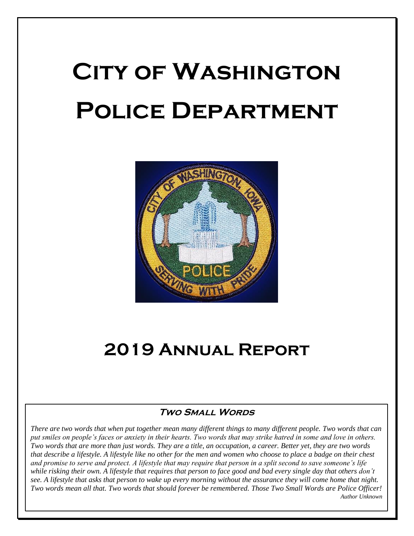# **City of Washington Police Department**



# **2019 Annual Report**

#### **Two Small Words**

*There are two words that when put together mean many different things to many different people. Two words that can put smiles on people's faces or anxiety in their hearts. Two words that may strike hatred in some and love in others. Two words that are more than just words. They are a title, an occupation, a career. Better yet, they are two words that describe a lifestyle. A lifestyle like no other for the men and women who choose to place a badge on their chest and promise to serve and protect. A lifestyle that may require that person in a split second to save someone's life while risking their own. A lifestyle that requires that person to face good and bad every single day that others don't see. A lifestyle that asks that person to wake up every morning without the assurance they will come home that night. Two words mean all that. Two words that should forever be remembered. Those Two Small Words are Police Officer! Author Unknown*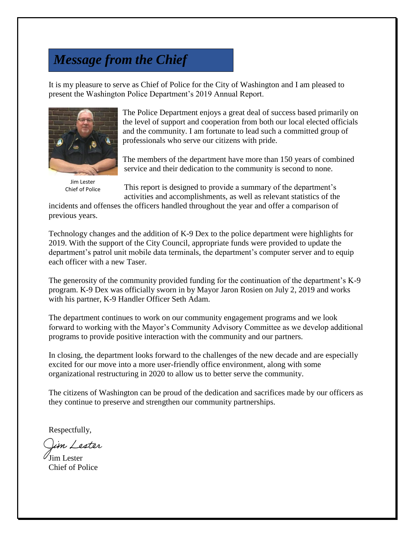# *Message from the Chief*

It is my pleasure to serve as Chief of Police for the City of Washington and I am pleased to present the Washington Police Department's 2019 Annual Report.



Jim Lester Chief of Police

The Police Department enjoys a great deal of success based primarily on the level of support and cooperation from both our local elected officials and the community. I am fortunate to lead such a committed group of professionals who serve our citizens with pride.

The members of the department have more than 150 years of combined service and their dedication to the community is second to none.

This report is designed to provide a summary of the department's activities and accomplishments, as well as relevant statistics of the

incidents and offenses the officers handled throughout the year and offer a comparison of previous years.

Technology changes and the addition of K-9 Dex to the police department were highlights for 2019. With the support of the City Council, appropriate funds were provided to update the department's patrol unit mobile data terminals, the department's computer server and to equip each officer with a new Taser.

The generosity of the community provided funding for the continuation of the department's K-9 program. K-9 Dex was officially sworn in by Mayor Jaron Rosien on July 2, 2019 and works with his partner, K-9 Handler Officer Seth Adam.

The department continues to work on our community engagement programs and we look forward to working with the Mayor's Community Advisory Committee as we develop additional programs to provide positive interaction with the community and our partners.

In closing, the department looks forward to the challenges of the new decade and are especially excited for our move into a more user-friendly office environment, along with some organizational restructuring in 2020 to allow us to better serve the community.

The citizens of Washington can be proud of the dedication and sacrifices made by our officers as they continue to preserve and strengthen our community partnerships.

Respectfully,

in Lester

Jim Lester Chief of Police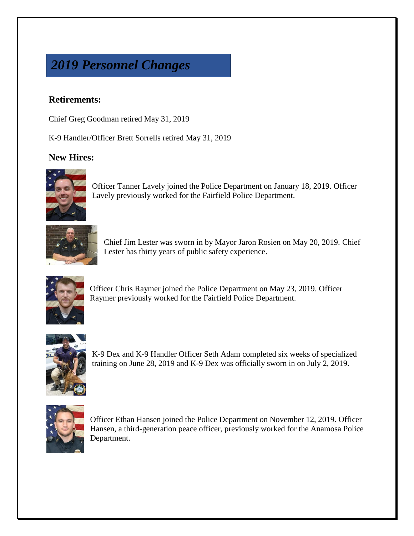# *2019 Personnel Changes*

#### **Retirements:**

Chief Greg Goodman retired May 31, 2019

K-9 Handler/Officer Brett Sorrells retired May 31, 2019

#### **New Hires:**



Officer Tanner Lavely joined the Police Department on January 18, 2019. Officer Lavely previously worked for the Fairfield Police Department.



Chief Jim Lester was sworn in by Mayor Jaron Rosien on May 20, 2019. Chief Lester has thirty years of public safety experience.



Officer Chris Raymer joined the Police Department on May 23, 2019. Officer Raymer previously worked for the Fairfield Police Department.



K-9 Dex and K-9 Handler Officer Seth Adam completed six weeks of specialized training on June 28, 2019 and K-9 Dex was officially sworn in on July 2, 2019.



Officer Ethan Hansen joined the Police Department on November 12, 2019. Officer Hansen, a third-generation peace officer, previously worked for the Anamosa Police Department.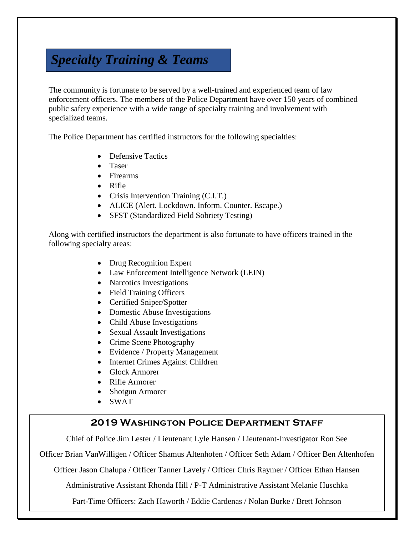# *Specialty Training & Teams*

The community is fortunate to be served by a well-trained and experienced team of law enforcement officers. The members of the Police Department have over 150 years of combined public safety experience with a wide range of specialty training and involvement with specialized teams.

The Police Department has certified instructors for the following specialties:

- Defensive Tactics
- Taser
- Firearms
- Rifle
- Crisis Intervention Training (C.I.T.)
- ALICE (Alert. Lockdown. Inform. Counter. Escape.)
- SFST (Standardized Field Sobriety Testing)

Along with certified instructors the department is also fortunate to have officers trained in the following specialty areas:

- Drug Recognition Expert
- Law Enforcement Intelligence Network (LEIN)
- Narcotics Investigations
- Field Training Officers
- Certified Sniper/Spotter
- Domestic Abuse Investigations
- Child Abuse Investigations
- Sexual Assault Investigations
- Crime Scene Photography
- Evidence / Property Management
- Internet Crimes Against Children
- Glock Armorer
- Rifle Armorer
- Shotgun Armorer
- SWAT

#### **2019 Washington Police Department Staff**

Chief of Police Jim Lester / Lieutenant Lyle Hansen / Lieutenant-Investigator Ron See

Officer Brian VanWilligen / Officer Shamus Altenhofen / Officer Seth Adam / Officer Ben Altenhofen

Officer Jason Chalupa / Officer Tanner Lavely / Officer Chris Raymer / Officer Ethan Hansen

Administrative Assistant Rhonda Hill / P-T Administrative Assistant Melanie Huschka

Part-Time Officers: Zach Haworth / Eddie Cardenas / Nolan Burke / Brett Johnson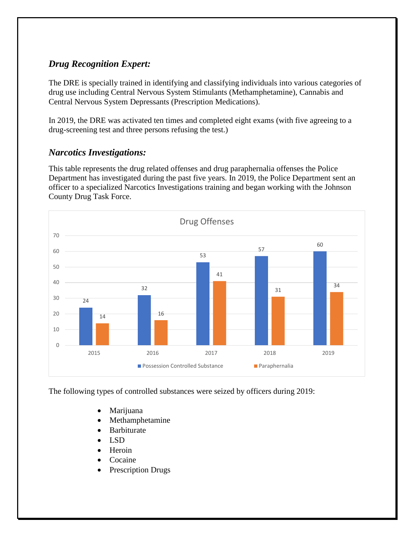#### *Drug Recognition Expert:*

The DRE is specially trained in identifying and classifying individuals into various categories of drug use including Central Nervous System Stimulants (Methamphetamine), Cannabis and Central Nervous System Depressants (Prescription Medications).

In 2019, the DRE was activated ten times and completed eight exams (with five agreeing to a drug-screening test and three persons refusing the test.)

#### *Narcotics Investigations:*

This table represents the drug related offenses and drug paraphernalia offenses the Police Department has investigated during the past five years. In 2019, the Police Department sent an officer to a specialized Narcotics Investigations training and began working with the Johnson County Drug Task Force.



The following types of controlled substances were seized by officers during 2019:

- Marijuana
- Methamphetamine
- Barbiturate
- LSD
- Heroin
- Cocaine
- Prescription Drugs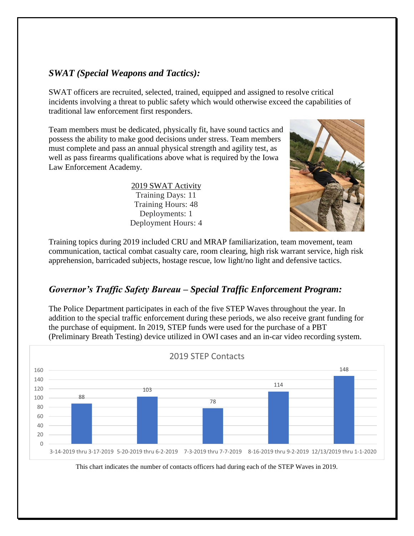#### *SWAT (Special Weapons and Tactics):*

SWAT officers are recruited, selected, trained, equipped and assigned to resolve critical incidents involving a threat to public safety which would otherwise exceed the capabilities of traditional law enforcement first responders.

Team members must be dedicated, physically fit, have sound tactics and possess the ability to make good decisions under stress. Team members must complete and pass an annual physical strength and agility test, as well as pass firearms qualifications above what is required by the Iowa Law Enforcement Academy.

> 2019 SWAT Activity Training Days: 11 Training Hours: 48 Deployments: 1 Deployment Hours: 4



Training topics during 2019 included CRU and MRAP familiarization, team movement, team communication, tactical combat casualty care, room clearing, high risk warrant service, high risk apprehension, barricaded subjects, hostage rescue, low light/no light and defensive tactics.

#### *Governor's Traffic Safety Bureau – Special Traffic Enforcement Program:*

The Police Department participates in each of the five STEP Waves throughout the year. In addition to the special traffic enforcement during these periods, we also receive grant funding for the purchase of equipment. In 2019, STEP funds were used for the purchase of a PBT (Preliminary Breath Testing) device utilized in OWI cases and an in-car video recording system.



This chart indicates the number of contacts officers had during each of the STEP Waves in 2019.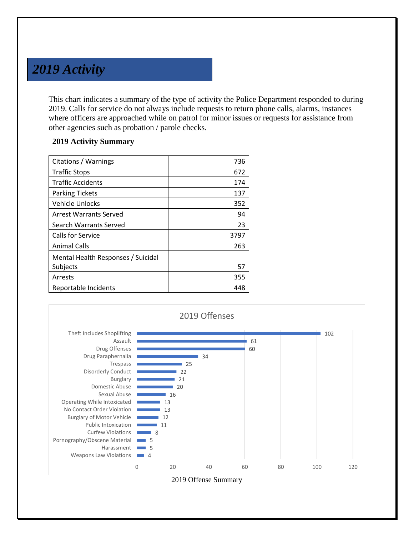### *2019 Activity*

This chart indicates a summary of the type of activity the Police Department responded to during 2019. Calls for service do not always include requests to return phone calls, alarms, instances where officers are approached while on patrol for minor issues or requests for assistance from other agencies such as probation / parole checks.

#### **2019 Activity Summary**

| Citations / Warnings               | 736  |
|------------------------------------|------|
| <b>Traffic Stops</b>               | 672  |
| <b>Traffic Accidents</b>           | 174  |
| <b>Parking Tickets</b>             | 137  |
| <b>Vehicle Unlocks</b>             | 352  |
| Arrest Warrants Served             | 94   |
| Search Warrants Served             | 23   |
| Calls for Service                  | 3797 |
| <b>Animal Calls</b>                | 263  |
| Mental Health Responses / Suicidal |      |
| Subjects                           | 57   |
| Arrests                            | 355  |
| Reportable Incidents               | 448  |